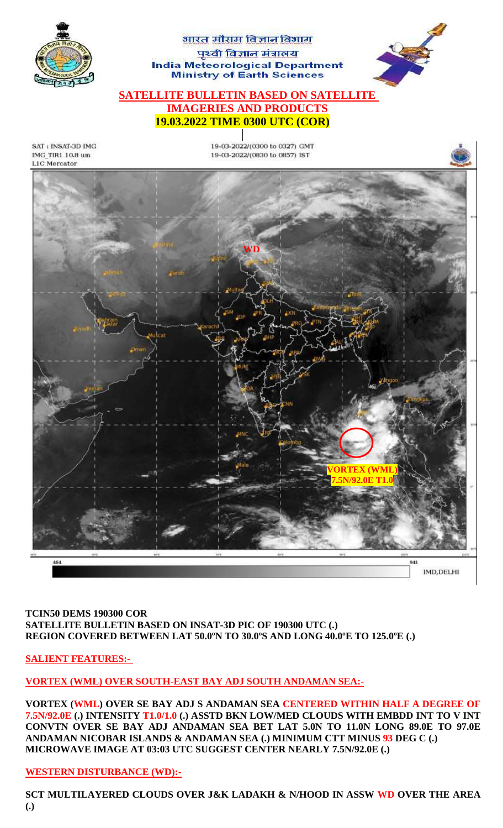

#### **TCIN50 DEMS 190300 COR SATELLITE BULLETIN BASED ON INSAT-3D PIC OF 190300 UTC (.) REGION COVERED BETWEEN LAT 50.0ºN TO 30.0ºS AND LONG 40.0ºE TO 125.0ºE (.)**

**SALIENT FEATURES:-**

**VORTEX (WML) OVER SOUTH-EAST BAY ADJ SOUTH ANDAMAN SEA:-**

**VORTEX (WML) OVER SE BAY ADJ S ANDAMAN SEA CENTERED WITHIN HALF A DEGREE OF 7.5N/92.0E (.) INTENSITY T1.0/1.0 (.) ASSTD BKN LOW/MED CLOUDS WITH EMBDD INT TO V INT CONVTN OVER SE BAY ADJ ANDAMAN SEA BET LAT 5.0N TO 11.0N LONG 89.0E TO 97.0E ANDAMAN NICOBAR ISLANDS & ANDAMAN SEA (.) MINIMUM CTT MINUS 93 DEG C (.) MICROWAVE IMAGE AT 03:03 UTC SUGGEST CENTER NEARLY 7.5N/92.0E (.)**

# **WESTERN DISTURBANCE (WD):-**

**SCT MULTILAYERED CLOUDS OVER J&K LADAKH & N/HOOD IN ASSW WD OVER THE AREA (.)**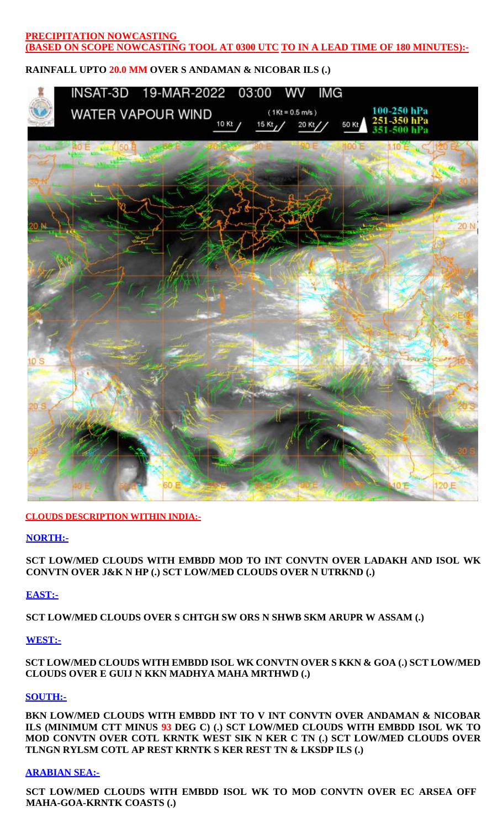## **PRECIPITATION NOWCASTING (BASED ON SCOPE NOWCASTING TOOL AT 0300 UTC TO IN A LEAD TIME OF 180 MINUTES):-**

## **RAINFALL UPTO 20.0 MM OVER S ANDAMAN & NICOBAR ILS (.)**



#### **CLOUDS DESCRIPTION WITHIN INDIA:-**

#### **NORTH:-**

**SCT LOW/MED CLOUDS WITH EMBDD MOD TO INT CONVTN OVER LADAKH AND ISOL WK CONVTN OVER J&K N HP (.) SCT LOW/MED CLOUDS OVER N UTRKND (.)** 

#### **EAST:-**

**SCT LOW/MED CLOUDS OVER S CHTGH SW ORS N SHWB SKM ARUPR W ASSAM (.)** 

## **WEST:-**

**SCT LOW/MED CLOUDS WITH EMBDD ISOL WK CONVTN OVER S KKN & GOA (.) SCT LOW/MED CLOUDS OVER E GUIJ N KKN MADHYA MAHA MRTHWD (.)**

## **SOUTH:-**

**BKN LOW/MED CLOUDS WITH EMBDD INT TO V INT CONVTN OVER ANDAMAN & NICOBAR ILS (MINIMUM CTT MINUS 93 DEG C) (.) SCT LOW/MED CLOUDS WITH EMBDD ISOL WK TO MOD CONVTN OVER COTL KRNTK WEST SIK N KER C TN (.) SCT LOW/MED CLOUDS OVER TLNGN RYLSM COTL AP REST KRNTK S KER REST TN & LKSDP ILS (.)**

#### **ARABIAN SEA:-**

**SCT LOW/MED CLOUDS WITH EMBDD ISOL WK TO MOD CONVTN OVER EC ARSEA OFF MAHA-GOA-KRNTK COASTS (.)**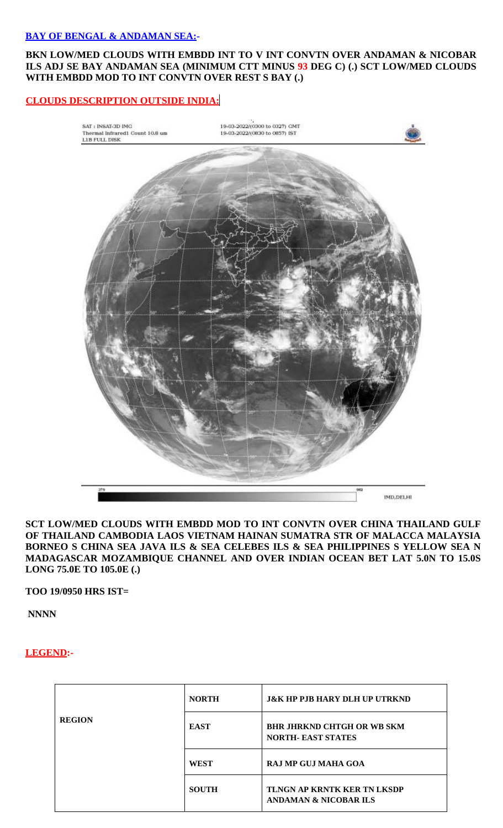## **BAY OF BENGAL & ANDAMAN SEA:-**

#### **BKN LOW/MED CLOUDS WITH EMBDD INT TO V INT CONVTN OVER ANDAMAN & NICOBAR ILS ADJ SE BAY ANDAMAN SEA (MINIMUM CTT MINUS 93 DEG C) (.) SCT LOW/MED CLOUDS WITH EMBDD MOD TO INT CONVTN OVER REST S BAY (.)**

## **CLOUDS DESCRIPTION OUTSIDE INDIA:**



#### **SCT LOW/MED CLOUDS WITH EMBDD MOD TO INT CONVTN OVER CHINA THAILAND GULF OF THAILAND CAMBODIA LAOS VIETNAM HAINAN SUMATRA STR OF MALACCA MALAYSIA BORNEO S CHINA SEA JAVA ILS & SEA CELEBES ILS & SEA PHILIPPINES S YELLOW SEA N MADAGASCAR MOZAMBIQUE CHANNEL AND OVER INDIAN OCEAN BET LAT 5.0N TO 15.0S LONG 75.0E TO 105.0E (.)**

**TOO 19/0950 HRS IST=**

**NNNN**

## **LEGEND:-**

| <b>REGION</b> | <b>NORTH</b> | <b>J&amp;K HP PJB HARY DLH UP UTRKND</b>                               |
|---------------|--------------|------------------------------------------------------------------------|
|               | <b>EAST</b>  | <b>BHR JHRKND CHTGH OR WB SKM</b><br><b>NORTH- EAST STATES</b>         |
|               | <b>WEST</b>  | RAJ MP GUJ MAHA GOA                                                    |
|               | <b>SOUTH</b> | <b>TLNGN AP KRNTK KER TN LKSDP</b><br><b>ANDAMAN &amp; NICOBAR ILS</b> |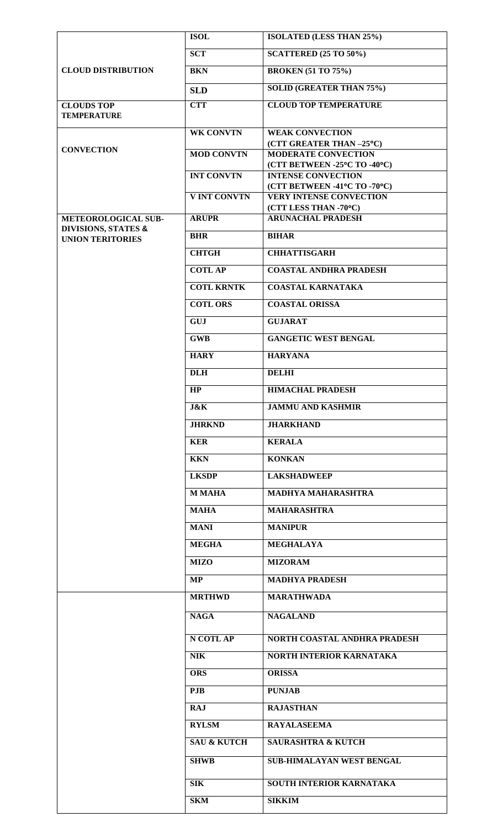|                                                                       | <b>ISOL</b>            | ISOLATED (LESS THAN 25%)                                       |
|-----------------------------------------------------------------------|------------------------|----------------------------------------------------------------|
|                                                                       | <b>SCT</b>             | <b>SCATTERED (25 TO 50%)</b>                                   |
| <b>CLOUD DISTRIBUTION</b>                                             | <b>BKN</b>             | <b>BROKEN (51 TO 75%)</b>                                      |
|                                                                       | <b>SLD</b>             | <b>SOLID (GREATER THAN 75%)</b>                                |
| <b>CLOUDS TOP</b><br><b>TEMPERATURE</b>                               | <b>CTT</b>             | <b>CLOUD TOP TEMPERATURE</b>                                   |
|                                                                       |                        |                                                                |
| <b>CONVECTION</b>                                                     | <b>WK CONVTN</b>       | <b>WEAK CONVECTION</b><br>(CTT GREATER THAN -25°C)             |
|                                                                       | <b>MOD CONVTN</b>      | <b>MODERATE CONVECTION</b>                                     |
|                                                                       | <b>INT CONVTN</b>      | (CTT BETWEEN -25°C TO -40°C)<br><b>INTENSE CONVECTION</b>      |
|                                                                       | <b>V INT CONVTN</b>    | (CTT BETWEEN -41°C TO -70°C)<br><b>VERY INTENSE CONVECTION</b> |
|                                                                       |                        | (CTT LESS THAN -70°C)                                          |
| METEOROLOGICAL SUB-<br>DIVISIONS, STATES &<br><b>UNION TERITORIES</b> | <b>ARUPR</b>           | <b>ARUNACHAL PRADESH</b>                                       |
|                                                                       | <b>BHR</b>             | <b>BIHAR</b>                                                   |
|                                                                       | <b>CHTGH</b>           | <b>CHHATTISGARH</b>                                            |
|                                                                       | <b>COTLAP</b>          | <b>COASTAL ANDHRA PRADESH</b>                                  |
|                                                                       | <b>COTL KRNTK</b>      | <b>COASTAL KARNATAKA</b>                                       |
|                                                                       | <b>COTL ORS</b>        | <b>COASTAL ORISSA</b>                                          |
|                                                                       | <b>GUJ</b>             | <b>GUJARAT</b>                                                 |
|                                                                       | <b>GWB</b>             | <b>GANGETIC WEST BENGAL</b>                                    |
|                                                                       | <b>HARY</b>            | <b>HARYANA</b>                                                 |
|                                                                       | <b>DLH</b>             | <b>DELHI</b>                                                   |
|                                                                       | HP                     | <b>HIMACHAL PRADESH</b>                                        |
|                                                                       | <b>J&amp;K</b>         | <b>JAMMU AND KASHMIR</b>                                       |
|                                                                       |                        |                                                                |
|                                                                       | <b>JHRKND</b>          | <b>JHARKHAND</b>                                               |
|                                                                       | <b>KER</b>             | <b>KERALA</b>                                                  |
|                                                                       | <b>KKN</b>             | <b>KONKAN</b>                                                  |
|                                                                       | <b>LKSDP</b>           | <b>LAKSHADWEEP</b>                                             |
|                                                                       | <b>M MAHA</b>          | <b>MADHYA MAHARASHTRA</b>                                      |
|                                                                       | <b>MAHA</b>            | <b>MAHARASHTRA</b>                                             |
|                                                                       | <b>MANI</b>            | <b>MANIPUR</b>                                                 |
|                                                                       | <b>MEGHA</b>           | <b>MEGHALAYA</b>                                               |
|                                                                       | <b>MIZO</b>            | <b>MIZORAM</b>                                                 |
|                                                                       | MP                     | <b>MADHYA PRADESH</b>                                          |
|                                                                       | <b>MRTHWD</b>          | <b>MARATHWADA</b>                                              |
|                                                                       | <b>NAGA</b>            | <b>NAGALAND</b>                                                |
|                                                                       | N COTL AP              | <b>NORTH COASTAL ANDHRA PRADESH</b>                            |
|                                                                       | <b>NIK</b>             | <b>NORTH INTERIOR KARNATAKA</b>                                |
|                                                                       | <b>ORS</b>             | <b>ORISSA</b>                                                  |
|                                                                       | <b>PJB</b>             | <b>PUNJAB</b>                                                  |
|                                                                       | <b>RAJ</b>             | <b>RAJASTHAN</b>                                               |
|                                                                       | <b>RYLSM</b>           | <b>RAYALASEEMA</b>                                             |
|                                                                       | <b>SAU &amp; KUTCH</b> | <b>SAURASHTRA &amp; KUTCH</b>                                  |
|                                                                       | <b>SHWB</b>            | <b>SUB-HIMALAYAN WEST BENGAL</b>                               |
|                                                                       | <b>SIK</b>             | SOUTH INTERIOR KARNATAKA                                       |